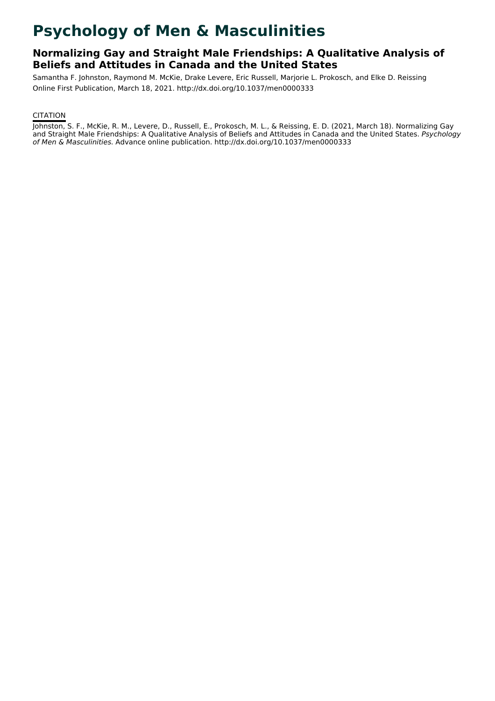# **Psychology of Men & Masculinities**

# **Normalizing Gay and Straight Male Friendships: A Qualitative Analysis of Beliefs and Attitudes in Canada and the United States**

Samantha F. Johnston, Raymond M. McKie, Drake Levere, Eric Russell, Marjorie L. Prokosch, and Elke D. Reissing Online First Publication, March 18, 2021. http://dx.doi.org/10.1037/men0000333

# **CITATION**

Johnston, S. F., McKie, R. M., Levere, D., Russell, E., Prokosch, M. L., & Reissing, E. D. (2021, March 18). Normalizing Gay and Straight Male Friendships: A Qualitative Analysis of Beliefs and Attitudes in Canada and the United States. Psychology of Men & Masculinities. Advance online publication. http://dx.doi.org/10.1037/men0000333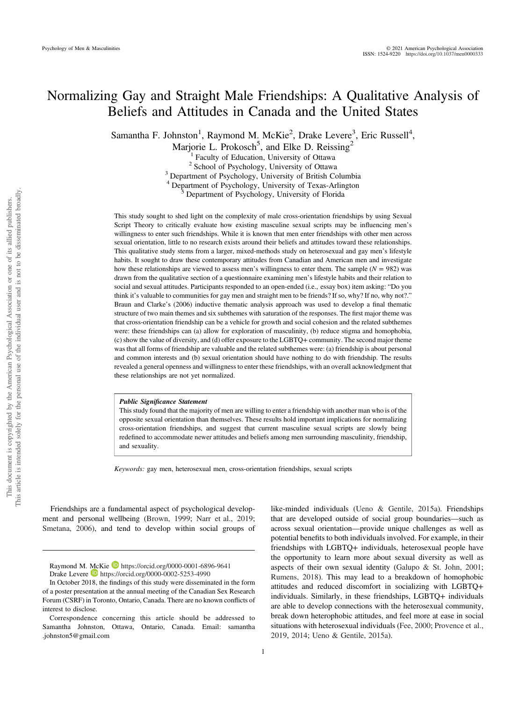# Normalizing Gay and Straight Male Friendships: A Qualitative Analysis of Beliefs and Attitudes in Canada and the United States

Samantha F. Johnston<sup>1</sup>, Raymond M. McKie<sup>2</sup>, Drake Levere<sup>3</sup>, Eric Russell<sup>4</sup>,

Marjorie L. Prokosch<sup>5</sup>, and Elke D. Reissing<sup>2</sup>

<sup>1</sup> Faculty of Education, University of Ottawa<br><sup>2</sup> School of Psychology, University of Ottawa<br><sup>3</sup> Department of Psychology, University of British Columbia

<sup>4</sup> Department of Psychology, University of Texas-Arlington <sup>5</sup> Department of Psychology, University of Florida

This study sought to shed light on the complexity of male cross-orientation friendships by using Sexual Script Theory to critically evaluate how existing masculine sexual scripts may be influencing men's willingness to enter such friendships. While it is known that men enter friendships with other men across sexual orientation, little to no research exists around their beliefs and attitudes toward these relationships. This qualitative study stems from a larger, mixed-methods study on heterosexual and gay men's lifestyle habits. It sought to draw these contemporary attitudes from Canadian and American men and investigate how these relationships are viewed to assess men's willingness to enter them. The sample  $(N = 982)$  was drawn from the qualitative section of a questionnaire examining men's lifestyle habits and their relation to social and sexual attitudes. Participants responded to an open-ended (i.e., essay box) item asking: "Do you think it's valuable to communities for gay men and straight men to be friends? If so, why? If no, why not?." Braun and Clarke's (2006) inductive thematic analysis approach was used to develop a final thematic structure of two main themes and six subthemes with saturation of the responses. The first major theme was that cross-orientation friendship can be a vehicle for growth and social cohesion and the related subthemes were: these friendships can (a) allow for exploration of masculinity, (b) reduce stigma and homophobia, (c) show the value of diversity, and (d) offer exposure to the LGBTQ+ community. The second major theme was that all forms of friendship are valuable and the related subthemes were: (a) friendship is about personal and common interests and (b) sexual orientation should have nothing to do with friendship. The results revealed a general openness and willingness to enter these friendships, with an overall acknowledgment that these relationships are not yet normalized.

#### Public Significance Statement

This study found that the majority of men are willing to enter a friendship with another man who is of the opposite sexual orientation than themselves. These results hold important implications for normalizing cross-orientation friendships, and suggest that current masculine sexual scripts are slowly being redefined to accommodate newer attitudes and beliefs among men surrounding masculinity, friendship, and sexuality.

Keywords: gay men, heterosexual men, cross-orientation friendships, sexual scripts

Friendships are a fundamental aspect of psychological development and personal wellbeing [\(Brown, 1999;](#page-10-0) Narr et al., 2019; Smetana, 2006), and tend to develop within social groups of

like-minded individuals (Ueno & Gentile, 2015a). Friendships that are developed outside of social group boundaries—such as across sexual orientation—provide unique challenges as well as potential benefits to both individuals involved. For example, in their friendships with LGBTQ+ individuals, heterosexual people have the opportunity to learn more about sexual diversity as well as aspects of their own sexual identity (Galupo & St. John, 2001; Rumens, 2018). This may lead to a breakdown of homophobic attitudes and reduced discomfort in socializing with LGBTQ+ individuals. Similarly, in these friendships, LGBTQ+ individuals are able to develop connections with the heterosexual community, break down heterophobic attitudes, and feel more at ease in social situations with heterosexual individuals (Fee, 2000; Provence et al., 2019, 2014; Ueno & Gentile, 2015a).

Raymond M. McKie D <https://orcid.org/0000-0001-6896-9641> Drake Levere **h**ttps://orcid.org/0000-0002-5253-4990

In October 2018, the findings of this study were disseminated in the form of a poster presentation at the annual meeting of the Canadian Sex Research Forum (CSRF) in Toronto, Ontario, Canada. There are no known conflicts of interest to disclose.

Correspondence concerning this article should be addressed to Samantha Johnston, Ottawa, Ontario, Canada. Email: [samantha](mailto:samantha.johnston5@gmail.com) [.johnston5@gmail.com](mailto:samantha.johnston5@gmail.com)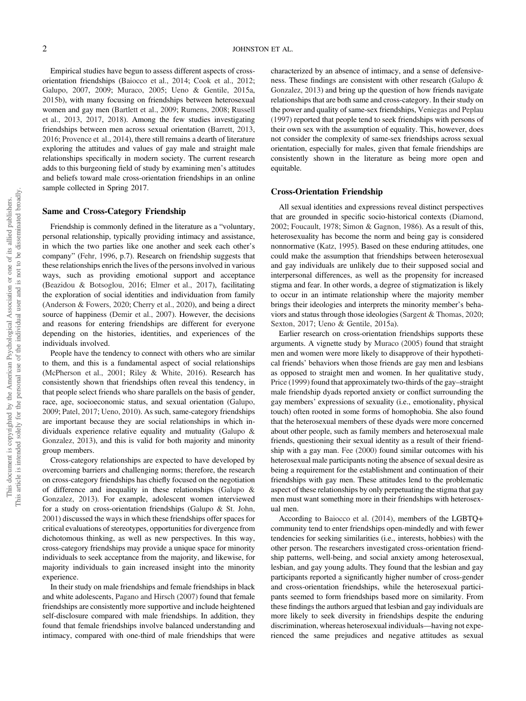Empirical studies have begun to assess different aspects of crossorientation friendships (Baiocco et al., 2014; Cook et al., 2012; Galupo, 2007, 2009; Muraco, 2005; Ueno & Gentile, 2015a, 2015b), with many focusing on friendships between heterosexual women and gay men (Bartlett et al., 2009; Rumens, 2008; Russell et al., 2013, 2017, 2018). Among the few studies investigating friendships between men across sexual orientation (Barrett, 2013, 2016; Provence et al., 2014), there still remains a dearth of literature exploring the attitudes and values of gay male and straight male relationships specifically in modern society. The current research adds to this burgeoning field of study by examining men's attitudes and beliefs toward male cross-orientation friendships in an online sample collected in Spring 2017.

#### Same and Cross-Category Friendship

Friendship is commonly defined in the literature as a "voluntary, personal relationship, typically providing intimacy and assistance, in which the two parties like one another and seek each other's company" (Fehr, 1996, p.7). Research on friendship suggests that these relationships enrich the lives of the persons involved in various ways, such as providing emotional support and acceptance (Beazidou & Botsoglou, 2016; Elmer et al., 2017), facilitating the exploration of social identities and individuation from family (Anderson & Fowers, 2020; [Cherry et al., 2020](#page-10-0)), and being a direct source of happiness (Demir et al., 2007). However, the decisions and reasons for entering friendships are different for everyone depending on the histories, identities, and experiences of the individuals involved.

People have the tendency to connect with others who are similar to them, and this is a fundamental aspect of social relationships (McPherson et al., 2001; Riley & White, 2016). Research has consistently shown that friendships often reveal this tendency, in that people select friends who share parallels on the basis of gender, race, age, socioeconomic status, and sexual orientation (Galupo, 2009; Patel, 2017; Ueno, 2010). As such, same-category friendships are important because they are social relationships in which individuals experience relative equality and mutuality (Galupo & Gonzalez, 2013), and this is valid for both majority and minority group members.

Cross-category relationships are expected to have developed by overcoming barriers and challenging norms; therefore, the research on cross-category friendships has chiefly focused on the negotiation of difference and inequality in these relationships (Galupo & Gonzalez, 2013). For example, adolescent women interviewed for a study on cross-orientation friendships (Galupo & St. John, 2001) discussed the ways in which these friendships offer spaces for critical evaluations of stereotypes, opportunities for divergence from dichotomous thinking, as well as new perspectives. In this way, cross-category friendships may provide a unique space for minority individuals to seek acceptance from the majority, and likewise, for majority individuals to gain increased insight into the minority experience.

In their study on male friendships and female friendships in black and white adolescents, Pagano and Hirsch (2007) found that female friendships are consistently more supportive and include heightened self-disclosure compared with male friendships. In addition, they found that female friendships involve balanced understanding and intimacy, compared with one-third of male friendships that were characterized by an absence of intimacy, and a sense of defensiveness. These findings are consistent with other research (Galupo & Gonzalez, 2013) and bring up the question of how friends navigate relationships that are both same and cross-category. In their study on the power and quality of same-sex friendships, Veniegas and Peplau (1997) reported that people tend to seek friendships with persons of their own sex with the assumption of equality. This, however, does not consider the complexity of same-sex friendships across sexual orientation, especially for males, given that female friendships are consistently shown in the literature as being more open and equitable.

## Cross-Orientation Friendship

All sexual identities and expressions reveal distinct perspectives that are grounded in specific socio-historical contexts (Diamond, 2002; Foucault, 1978; Simon & Gagnon, 1986). As a result of this, heterosexuality has become the norm and being gay is considered nonnormative (Katz, 1995). Based on these enduring attitudes, one could make the assumption that friendships between heterosexual and gay individuals are unlikely due to their supposed social and interpersonal differences, as well as the propensity for increased stigma and fear. In other words, a degree of stigmatization is likely to occur in an intimate relationship where the majority member brings their ideologies and interprets the minority member's behaviors and status through those ideologies (Sargent & Thomas, 2020; Sexton, 2017; Ueno & Gentile, 2015a).

Earlier research on cross-orientation friendships supports these arguments. A vignette study by Muraco (2005) found that straight men and women were more likely to disapprove of their hypothetical friends' behaviors when those friends are gay men and lesbians as opposed to straight men and women. In her qualitative study, Price (1999) found that approximately two-thirds of the gay–straight male friendship dyads reported anxiety or conflict surrounding the gay members' expressions of sexuality (i.e., emotionality, physical touch) often rooted in some forms of homophobia. She also found that the heterosexual members of these dyads were more concerned about other people, such as family members and heterosexual male friends, questioning their sexual identity as a result of their friendship with a gay man. Fee (2000) found similar outcomes with his heterosexual male participants noting the absence of sexual desire as being a requirement for the establishment and continuation of their friendships with gay men. These attitudes lend to the problematic aspect of these relationships by only perpetuating the stigma that gay men must want something more in their friendships with heterosexual men.

According to Baiocco et al. (2014), members of the LGBTQ+ community tend to enter friendships open-mindedly and with fewer tendencies for seeking similarities (i.e., interests, hobbies) with the other person. The researchers investigated cross-orientation friendship patterns, well-being, and social anxiety among heterosexual, lesbian, and gay young adults. They found that the lesbian and gay participants reported a significantly higher number of cross-gender and cross-orientation friendships, while the heterosexual participants seemed to form friendships based more on similarity. From these findings the authors argued that lesbian and gay individuals are more likely to seek diversity in friendships despite the enduring discrimination, whereas heterosexual individuals—having not experienced the same prejudices and negative attitudes as sexual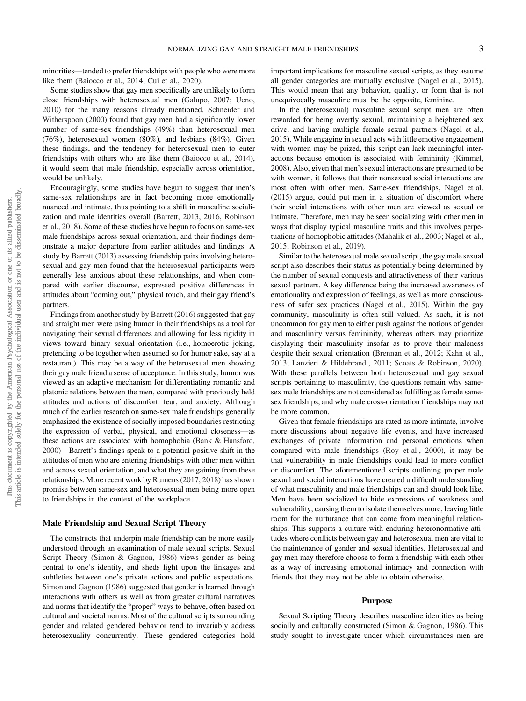minorities—tended to prefer friendships with people who were more like them (Baiocco et al., 2014; Cui et al., 2020).

Some studies show that gay men specifically are unlikely to form close friendships with heterosexual men (Galupo, 2007; Ueno, 2010) for the many reasons already mentioned. Schneider and Witherspoon (2000) found that gay men had a significantly lower number of same-sex friendships (49%) than heterosexual men (76%), heterosexual women (80%), and lesbians (84%). Given these findings, and the tendency for heterosexual men to enter friendships with others who are like them (Baiocco et al., 2014), it would seem that male friendship, especially across orientation, would be unlikely.

Encouragingly, some studies have begun to suggest that men's same-sex relationships are in fact becoming more emotionally nuanced and intimate, thus pointing to a shift in masculine socialization and male identities overall (Barrett, 2013, 2016, Robinson et al., 2018). Some of these studies have begun to focus on same-sex male friendships across sexual orientation, and their findings demonstrate a major departure from earlier attitudes and findings. A study by Barrett (2013) assessing friendship pairs involving heterosexual and gay men found that the heterosexual participants were generally less anxious about these relationships, and when compared with earlier discourse, expressed positive differences in attitudes about "coming out," physical touch, and their gay friend's partners.

Findings from another study by Barrett (2016) suggested that gay and straight men were using humor in their friendships as a tool for navigating their sexual differences and allowing for less rigidity in views toward binary sexual orientation (i.e., homoerotic joking, pretending to be together when assumed so for humor sake, say at a restaurant). This may be a way of the heterosexual men showing their gay male friend a sense of acceptance. In this study, humor was viewed as an adaptive mechanism for differentiating romantic and platonic relations between the men, compared with previously held attitudes and actions of discomfort, fear, and anxiety. Although much of the earlier research on same-sex male friendships generally emphasized the existence of socially imposed boundaries restricting the expression of verbal, physical, and emotional closeness—as these actions are associated with homophobia (Bank & Hansford, 2000)—Barrett's findings speak to a potential positive shift in the attitudes of men who are entering friendships with other men within and across sexual orientation, and what they are gaining from these relationships. More recent work by Rumens (2017, 2018) has shown promise between same-sex and heterosexual men being more open to friendships in the context of the workplace.

#### Male Friendship and Sexual Script Theory

The constructs that underpin male friendship can be more easily understood through an examination of male sexual scripts. Sexual Script Theory (Simon & Gagnon, 1986) views gender as being central to one's identity, and sheds light upon the linkages and subtleties between one's private actions and public expectations. Simon and Gagnon (1986) suggested that gender is learned through interactions with others as well as from greater cultural narratives and norms that identify the "proper" ways to behave, often based on cultural and societal norms. Most of the cultural scripts surrounding gender and related gendered behavior tend to invariably address heterosexuality concurrently. These gendered categories hold important implications for masculine sexual scripts, as they assume all gender categories are mutually exclusive (Nagel et al., 2015). This would mean that any behavior, quality, or form that is not unequivocally masculine must be the opposite, feminine.

In the (heterosexual) masculine sexual script men are often rewarded for being overtly sexual, maintaining a heightened sex drive, and having multiple female sexual partners (Nagel et al., 2015). While engaging in sexual acts with little emotive engagement with women may be prized, this script can lack meaningful interactions because emotion is associated with femininity (Kimmel, 2008). Also, given that men's sexual interactions are presumed to be with women, it follows that their nonsexual social interactions are most often with other men. Same-sex friendships, Nagel et al. (2015) argue, could put men in a situation of discomfort where their social interactions with other men are viewed as sexual or intimate. Therefore, men may be seen socializing with other men in ways that display typical masculine traits and this involves perpetuations of homophobic attitudes (Mahalik et al., 2003; Nagel et al., 2015; Robinson et al., 2019).

Similar to the heterosexual male sexual script, the gay male sexual script also describes their status as potentially being determined by the number of sexual conquests and attractiveness of their various sexual partners. A key difference being the increased awareness of emotionality and expression of feelings, as well as more consciousness of safer sex practices (Nagel et al., 2015). Within the gay community, masculinity is often still valued. As such, it is not uncommon for gay men to either push against the notions of gender and masculinity versus femininity, whereas others may prioritize displaying their masculinity insofar as to prove their maleness despite their sexual orientation (Brennan et al., 2012; Kahn et al., 2013; Lanzieri & Hildebrandt, 2011; Scoats & Robinson, 2020). With these parallels between both heterosexual and gay sexual scripts pertaining to masculinity, the questions remain why samesex male friendships are not considered as fulfilling as female samesex friendships, and why male cross-orientation friendships may not be more common.

Given that female friendships are rated as more intimate, involve more discussions about negative life events, and have increased exchanges of private information and personal emotions when compared with male friendships (Roy et al., 2000), it may be that vulnerability in male friendships could lead to more conflict or discomfort. The aforementioned scripts outlining proper male sexual and social interactions have created a difficult understanding of what masculinity and male friendships can and should look like. Men have been socialized to hide expressions of weakness and vulnerability, causing them to isolate themselves more, leaving little room for the nurturance that can come from meaningful relationships. This supports a culture with enduring heteronormative attitudes where conflicts between gay and heterosexual men are vital to the maintenance of gender and sexual identities. Heterosexual and gay men may therefore choose to form a friendship with each other as a way of increasing emotional intimacy and connection with friends that they may not be able to obtain otherwise.

#### Purpose

Sexual Scripting Theory describes masculine identities as being socially and culturally constructed (Simon & Gagnon, 1986). This study sought to investigate under which circumstances men are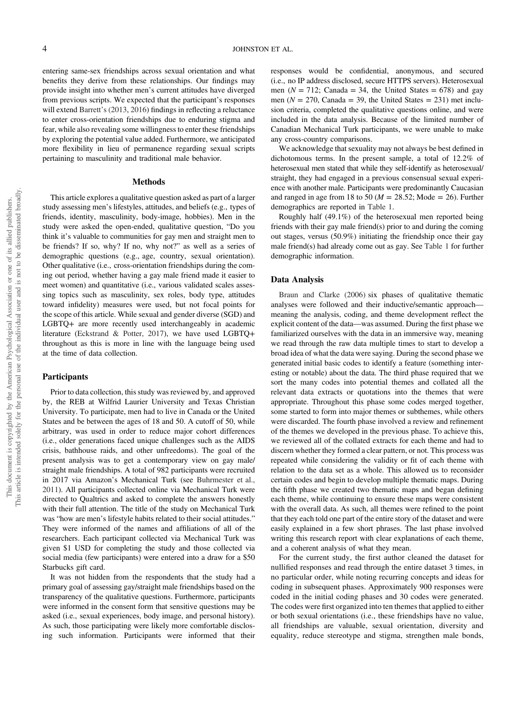entering same-sex friendships across sexual orientation and what benefits they derive from these relationships. Our findings may provide insight into whether men's current attitudes have diverged from previous scripts. We expected that the participant's responses will extend Barrett's (2013, 2016) findings in reflecting a reluctance to enter cross-orientation friendships due to enduring stigma and fear, while also revealing some willingness to enter these friendships by exploring the potential value added. Furthermore, we anticipated more flexibility in lieu of permanence regarding sexual scripts pertaining to masculinity and traditional male behavior.

#### Methods

This article explores a qualitative question asked as part of a larger study assessing men's lifestyles, attitudes, and beliefs (e.g., types of friends, identity, masculinity, body-image, hobbies). Men in the study were asked the open-ended, qualitative question, "Do you think it's valuable to communities for gay men and straight men to be friends? If so, why? If no, why not?" as well as a series of demographic questions (e.g., age, country, sexual orientation). Other qualitative (i.e., cross-orientation friendships during the coming out period, whether having a gay male friend made it easier to meet women) and quantitative (i.e., various validated scales assessing topics such as masculinity, sex roles, body type, attitudes toward infidelity) measures were used, but not focal points for the scope of this article. While sexual and gender diverse (SGD) and LGBTQ+ are more recently used interchangeably in academic literature (Eckstrand & Potter, 2017), we have used LGBTQ+ throughout as this is more in line with the language being used at the time of data collection.

## **Participants**

Prior to data collection, this study was reviewed by, and approved by, the REB at Wilfrid Laurier University and Texas Christian University. To participate, men had to live in Canada or the United States and be between the ages of 18 and 50. A cutoff of 50, while arbitrary, was used in order to reduce major cohort differences (i.e., older generations faced unique challenges such as the AIDS crisis, bathhouse raids, and other unfreedoms). The goal of the present analysis was to get a contemporary view on gay male/ straight male friendships. A total of 982 participants were recruited in 2017 via Amazon's Mechanical Turk (see Buhrmester et al., 2011). All participants collected online via Mechanical Turk were directed to Qualtrics and asked to complete the answers honestly with their full attention. The title of the study on Mechanical Turk was "how are men's lifestyle habits related to their social attitudes." They were informed of the names and affiliations of all of the researchers. Each participant collected via Mechanical Turk was given \$1 USD for completing the study and those collected via social media (few participants) were entered into a draw for a \$50 Starbucks gift card.

It was not hidden from the respondents that the study had a primary goal of assessing gay/straight male friendships based on the transparency of the qualitative questions. Furthermore, participants were informed in the consent form that sensitive questions may be asked (i.e., sexual experiences, body image, and personal history). As such, those participating were likely more comfortable disclosing such information. Participants were informed that their responses would be confidential, anonymous, and secured (i.e., no IP address disclosed, secure HTTPS servers). Heterosexual men ( $N = 712$ ; Canada = 34, the United States = 678) and gay men ( $N = 270$ , Canada = 39, the United States = 231) met inclusion criteria, completed the qualitative questions online, and were included in the data analysis. Because of the limited number of Canadian Mechanical Turk participants, we were unable to make any cross-country comparisons.

We acknowledge that sexuality may not always be best defined in dichotomous terms. In the present sample, a total of 12.2% of heterosexual men stated that while they self-identify as heterosexual/ straight, they had engaged in a previous consensual sexual experience with another male. Participants were predominantly Caucasian and ranged in age from 18 to 50 ( $M = 28.52$ ; Mode = 26). Further demographics are reported in [Table 1.](#page-5-0)

Roughly half (49.1%) of the heterosexual men reported being friends with their gay male friend(s) prior to and during the coming out stages, versus (50.9%) initiating the friendship once their gay male friend(s) had already come out as gay. See [Table 1](#page-5-0) for further demographic information.

#### Data Analysis

Braun and Clarke (2006) six phases of qualitative thematic analyses were followed and their inductive/semantic approach meaning the analysis, coding, and theme development reflect the explicit content of the data—was assumed. During the first phase we familiarized ourselves with the data in an immersive way, meaning we read through the raw data multiple times to start to develop a broad idea of what the data were saying. During the second phase we generated initial basic codes to identify a feature (something interesting or notable) about the data. The third phase required that we sort the many codes into potential themes and collated all the relevant data extracts or quotations into the themes that were appropriate. Throughout this phase some codes merged together, some started to form into major themes or subthemes, while others were discarded. The fourth phase involved a review and refinement of the themes we developed in the previous phase. To achieve this, we reviewed all of the collated extracts for each theme and had to discern whether they formed a clear pattern, or not. This process was repeated while considering the validity or fit of each theme with relation to the data set as a whole. This allowed us to reconsider certain codes and begin to develop multiple thematic maps. During the fifth phase we created two thematic maps and began defining each theme, while continuing to ensure these maps were consistent with the overall data. As such, all themes were refined to the point that they each told one part of the entire story of the dataset and were easily explained in a few short phrases. The last phase involved writing this research report with clear explanations of each theme, and a coherent analysis of what they mean.

For the current study, the first author cleaned the dataset for nullified responses and read through the entire dataset 3 times, in no particular order, while noting recurring concepts and ideas for coding in subsequent phases. Approximately 900 responses were coded in the initial coding phases and 30 codes were generated. The codes were first organized into ten themes that applied to either or both sexual orientations (i.e., these friendships have no value, all friendships are valuable, sexual orientation, diversity and equality, reduce stereotype and stigma, strengthen male bonds,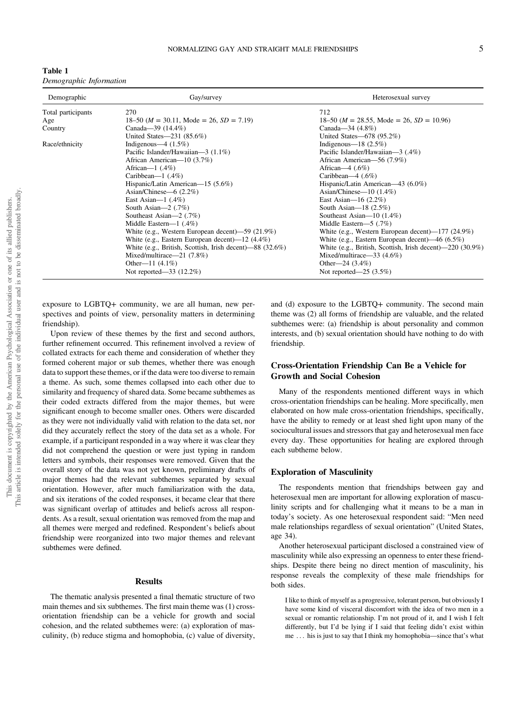<span id="page-5-0"></span>

| Demographic        | Gay/survey                                               | Heterosexual survey                                       |
|--------------------|----------------------------------------------------------|-----------------------------------------------------------|
| Total participants | 270                                                      | 712                                                       |
| Age                | $18-50$ ( <i>M</i> = 30.11, Mode = 26, <i>SD</i> = 7.19) | $18-50$ ( <i>M</i> = 28.55, Mode = 26, <i>SD</i> = 10.96) |
| Country            | Canada—39 $(14.4\%)$                                     | Canada—34 $(4.8\%)$                                       |
|                    | United States $-231$ (85.6%)                             | United States-678 (95.2%)                                 |
| Race/ethnicity     | Indigenous—4 $(1.5\%)$                                   | Indigenous— $18(2.5\%)$                                   |
|                    | Pacific Islander/Hawaiian-3 (1.1%)                       | Pacific Islander/Hawaiian—3 (.4%)                         |
|                    | African American—10 (3.7%)                               | African American-56 (7.9%)                                |
|                    | African— $1$ (.4%)                                       | African—4 $(.6\%)$                                        |
|                    | Caribbean— $1$ (.4%)                                     | Caribbean—4 $(.6\%)$                                      |
|                    | Hispanic/Latin American—15 (5.6%)                        | Hispanic/Latin American—43 (6.0%)                         |
|                    | Asian/Chinese— $6(2.2\%)$                                | Asian/Chinese— $10(1.4\%)$                                |
|                    | East Asian— $1$ (.4%)                                    | East Asian— $16(2.2\%)$                                   |
|                    | South Asian— $2(.7%)$                                    | South Asian- $18$ $(2.5\%)$                               |
|                    | Southeast Asian-2 (.7%)                                  | Southeast Asian— $10(1.4\%)$                              |
|                    | Middle Eastern— $1$ (.4%)                                | Middle Eastern—5 $(.7%)$                                  |
|                    | White (e.g., Western European decent)—59 $(21.9\%)$      | White (e.g., Western European decent)— $177$ (24.9%)      |
|                    | White (e.g., Eastern European decent)— $12(4.4\%)$       | White (e.g., Eastern European decent)—46 $(6.5\%)$        |
|                    | White (e.g., British, Scottish, Irish decent)—88 (32.6%) | White (e.g., British, Scottish, Irish decent)—220 (30.9%) |
|                    | Mixed/multirace— $21$ (7.8%)                             | Mixed/multirace—33 $(4.6%)$                               |
|                    | Other—11 $(4.1\%)$                                       | Other—24 $(3.4\%)$                                        |
|                    | Not reported—33 (12.2%)                                  | Not reported— $25$ (3.5%)                                 |

exposure to LGBTQ+ community, we are all human, new perspectives and points of view, personality matters in determining friendship).

Upon review of these themes by the first and second authors, further refinement occurred. This refinement involved a review of collated extracts for each theme and consideration of whether they formed coherent major or sub themes, whether there was enough data to support these themes, or if the data were too diverse to remain a theme. As such, some themes collapsed into each other due to similarity and frequency of shared data. Some became subthemes as their coded extracts differed from the major themes, but were significant enough to become smaller ones. Others were discarded as they were not individually valid with relation to the data set, nor did they accurately reflect the story of the data set as a whole. For example, if a participant responded in a way where it was clear they did not comprehend the question or were just typing in random letters and symbols, their responses were removed. Given that the overall story of the data was not yet known, preliminary drafts of major themes had the relevant subthemes separated by sexual orientation. However, after much familiarization with the data, and six iterations of the coded responses, it became clear that there was significant overlap of attitudes and beliefs across all respondents. As a result, sexual orientation was removed from the map and all themes were merged and redefined. Respondent's beliefs about friendship were reorganized into two major themes and relevant subthemes were defined.

#### Results

The thematic analysis presented a final thematic structure of two main themes and six subthemes. The first main theme was (1) crossorientation friendship can be a vehicle for growth and social cohesion, and the related subthemes were: (a) exploration of masculinity, (b) reduce stigma and homophobia, (c) value of diversity, and (d) exposure to the LGBTQ+ community. The second main theme was (2) all forms of friendship are valuable, and the related subthemes were: (a) friendship is about personality and common interests, and (b) sexual orientation should have nothing to do with friendship.

# Cross-Orientation Friendship Can Be a Vehicle for Growth and Social Cohesion

Many of the respondents mentioned different ways in which cross-orientation friendships can be healing. More specifically, men elaborated on how male cross-orientation friendships, specifically, have the ability to remedy or at least shed light upon many of the sociocultural issues and stressors that gay and heterosexual men face every day. These opportunities for healing are explored through each subtheme below.

# Exploration of Masculinity

The respondents mention that friendships between gay and heterosexual men are important for allowing exploration of masculinity scripts and for challenging what it means to be a man in today's society. As one heterosexual respondent said: "Men need male relationships regardless of sexual orientation" (United States, age 34).

Another heterosexual participant disclosed a constrained view of masculinity while also expressing an openness to enter these friendships. Despite there being no direct mention of masculinity, his response reveals the complexity of these male friendships for both sides.

I like to think of myself as a progressive, tolerant person, but obviously I have some kind of visceral discomfort with the idea of two men in a sexual or romantic relationship. I'm not proud of it, and I wish I felt differently, but I'd be lying if I said that feeling didn't exist within me ... his is just to say that I think my homophobia—since that's what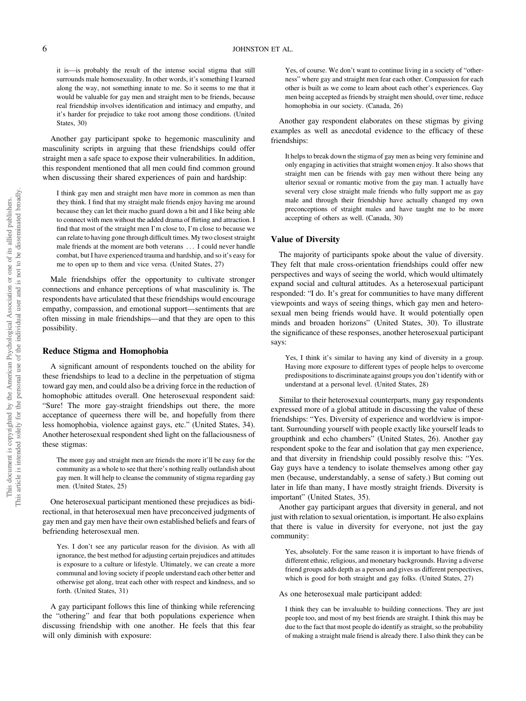it is—is probably the result of the intense social stigma that still surrounds male homosexuality. In other words, it's something I learned along the way, not something innate to me. So it seems to me that it would be valuable for gay men and straight men to be friends, because real friendship involves identification and intimacy and empathy, and it's harder for prejudice to take root among those conditions. (United States, 30)

Another gay participant spoke to hegemonic masculinity and masculinity scripts in arguing that these friendships could offer straight men a safe space to expose their vulnerabilities. In addition, this respondent mentioned that all men could find common ground when discussing their shared experiences of pain and hardship:

I think gay men and straight men have more in common as men than they think. I find that my straight male friends enjoy having me around because they can let their macho guard down a bit and I like being able to connect with men without the added drama of flirting and attraction. I find that most of the straight men I'm close to, I'm close to because we can relate to having gone through difficult times. My two closest straight male friends at the moment are both veterans ... I could never handle combat, but I have experienced trauma and hardship, and so it's easy for me to open up to them and vice versa. (United States, 27)

Male friendships offer the opportunity to cultivate stronger connections and enhance perceptions of what masculinity is. The respondents have articulated that these friendships would encourage empathy, compassion, and emotional support—sentiments that are often missing in male friendships—and that they are open to this possibility.

# Reduce Stigma and Homophobia

A significant amount of respondents touched on the ability for these friendships to lead to a decline in the perpetuation of stigma toward gay men, and could also be a driving force in the reduction of homophobic attitudes overall. One heterosexual respondent said: "Sure! The more gay-straight friendships out there, the more acceptance of queerness there will be, and hopefully from there less homophobia, violence against gays, etc." (United States, 34). Another heterosexual respondent shed light on the fallaciousness of these stigmas:

The more gay and straight men are friends the more it'll be easy for the community as a whole to see that there's nothing really outlandish about gay men. It will help to cleanse the community of stigma regarding gay men. (United States, 25)

One heterosexual participant mentioned these prejudices as bidirectional, in that heterosexual men have preconceived judgments of gay men and gay men have their own established beliefs and fears of befriending heterosexual men.

Yes. I don't see any particular reason for the division. As with all ignorance, the best method for adjusting certain prejudices and attitudes is exposure to a culture or lifestyle. Ultimately, we can create a more communal and loving society if people understand each other better and otherwise get along, treat each other with respect and kindness, and so forth. (United States, 31)

A gay participant follows this line of thinking while referencing the "othering" and fear that both populations experience when discussing friendship with one another. He feels that this fear will only diminish with exposure:

Yes, of course. We don't want to continue living in a society of "otherness" where gay and straight men fear each other. Compassion for each other is built as we come to learn about each other's experiences. Gay men being accepted as friends by straight men should, over time, reduce homophobia in our society. (Canada, 26)

Another gay respondent elaborates on these stigmas by giving examples as well as anecdotal evidence to the efficacy of these friendships:

It helps to break down the stigma of gay men as being very feminine and only engaging in activities that straight women enjoy. It also shows that straight men can be friends with gay men without there being any ulterior sexual or romantic motive from the gay man. I actually have several very close straight male friends who fully support me as gay male and through their friendship have actually changed my own preconceptions of straight males and have taught me to be more accepting of others as well. (Canada, 30)

### Value of Diversity

The majority of participants spoke about the value of diversity. They felt that male cross-orientation friendships could offer new perspectives and ways of seeing the world, which would ultimately expand social and cultural attitudes. As a heterosexual participant responded: "I do. It's great for communities to have many different viewpoints and ways of seeing things, which gay men and heterosexual men being friends would have. It would potentially open minds and broaden horizons" (United States, 30). To illustrate the significance of these responses, another heterosexual participant says:

Yes, I think it's similar to having any kind of diversity in a group. Having more exposure to different types of people helps to overcome predispositions to discriminate against groups you don't identify with or understand at a personal level. (United States, 28)

Similar to their heterosexual counterparts, many gay respondents expressed more of a global attitude in discussing the value of these friendships: "Yes. Diversity of experience and worldview is important. Surrounding yourself with people exactly like yourself leads to groupthink and echo chambers" (United States, 26). Another gay respondent spoke to the fear and isolation that gay men experience, and that diversity in friendship could possibly resolve this: "Yes. Gay guys have a tendency to isolate themselves among other gay men (because, understandably, a sense of safety.) But coming out later in life than many, I have mostly straight friends. Diversity is important" (United States, 35).

Another gay participant argues that diversity in general, and not just with relation to sexual orientation, is important. He also explains that there is value in diversity for everyone, not just the gay community:

Yes, absolutely. For the same reason it is important to have friends of different ethnic, religious, and monetary backgrounds. Having a diverse friend groups adds depth as a person and gives us different perspectives, which is good for both straight and gay folks. (United States, 27)

As one heterosexual male participant added:

I think they can be invaluable to building connections. They are just people too, and most of my best friends are straight. I think this may be due to the fact that most people do identify as straight, so the probability of making a straight male friend is already there. I also think they can be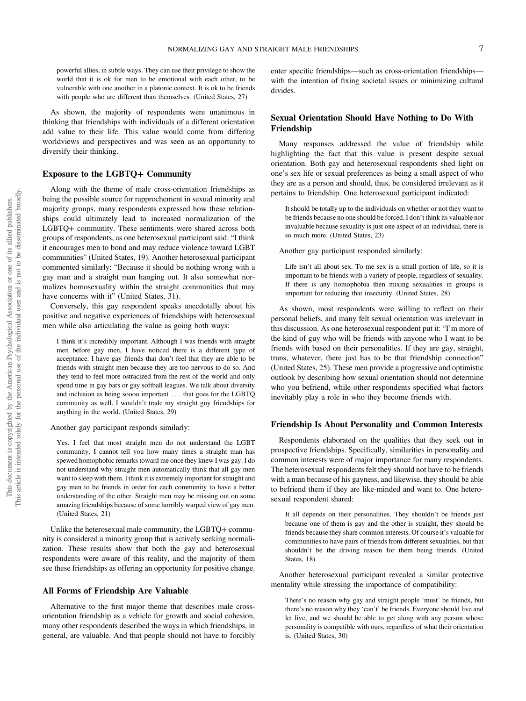powerful allies, in subtle ways. They can use their privilege to show the world that it is ok for men to be emotional with each other, to be vulnerable with one another in a platonic context. It is ok to be friends with people who are different than themselves. (United States, 27)

As shown, the majority of respondents were unanimous in thinking that friendships with individuals of a different orientation add value to their life. This value would come from differing worldviews and perspectives and was seen as an opportunity to diversify their thinking.

## Exposure to the LGBTQ+ Community

Along with the theme of male cross-orientation friendships as being the possible source for rapprochement in sexual minority and majority groups, many respondents expressed how these relationships could ultimately lead to increased normalization of the LGBTQ+ community. These sentiments were shared across both groups of respondents, as one heterosexual participant said: "I think it encourages men to bond and may reduce violence toward LGBT communities" (United States, 19). Another heterosexual participant commented similarly: "Because it should be nothing wrong with a gay man and a straight man hanging out. It also somewhat normalizes homosexuality within the straight communities that may have concerns with it" (United States, 31).

Conversely, this gay respondent speaks anecdotally about his positive and negative experiences of friendships with heterosexual men while also articulating the value as going both ways:

I think it's incredibly important. Although I was friends with straight men before gay men, I have noticed there is a different type of acceptance. I have gay friends that don't feel that they are able to be friends with straight men because they are too nervous to do so. And they tend to feel more ostracized from the rest of the world and only spend time in gay bars or gay softball leagues. We talk about diversity and inclusion as being soooo important ... that goes for the LGBTQ community as well. I wouldn't trade my straight guy friendships for anything in the world. (United States, 29)

Another gay participant responds similarly:

Yes. I feel that most straight men do not understand the LGBT community. I cannot tell you how many times a straight man has spewed homophobic remarks toward me once they knew I was gay. I do not understand why straight men automatically think that all gay men want to sleep with them. I think it is extremely important for straight and gay men to be friends in order for each community to have a better understanding of the other. Straight men may be missing out on some amazing friendships because of some horribly warped view of gay men. (United States, 21)

Unlike the heterosexual male community, the LGBTQ+ community is considered a minority group that is actively seeking normalization. These results show that both the gay and heterosexual respondents were aware of this reality, and the majority of them see these friendships as offering an opportunity for positive change.

# All Forms of Friendship Are Valuable

Alternative to the first major theme that describes male crossorientation friendship as a vehicle for growth and social cohesion, many other respondents described the ways in which friendships, in general, are valuable. And that people should not have to forcibly enter specific friendships—such as cross-orientation friendships with the intention of fixing societal issues or minimizing cultural divides.

# Sexual Orientation Should Have Nothing to Do With Friendship

Many responses addressed the value of friendship while highlighting the fact that this value is present despite sexual orientation. Both gay and heterosexual respondents shed light on one's sex life or sexual preferences as being a small aspect of who they are as a person and should, thus, be considered irrelevant as it pertains to friendship. One heterosexual participant indicated:

It should be totally up to the individuals on whether or not they want to be friends because no one should be forced. I don't think its valuable nor invaluable because sexuality is just one aspect of an individual, there is so much more. (United States, 23)

Another gay participant responded similarly:

Life isn't all about sex. To me sex is a small portion of life, so it is important to be friends with a variety of people, regardless of sexuality. If there is any homophobia then mixing sexualities in groups is important for reducing that insecurity. (United States, 28)

As shown, most respondents were willing to reflect on their personal beliefs, and many felt sexual orientation was irrelevant in this discussion. As one heterosexual respondent put it: "I'm more of the kind of guy who will be friends with anyone who I want to be friends with based on their personalities. If they are gay, straight, trans, whatever, there just has to be that friendship connection" (United States, 25). These men provide a progressive and optimistic outlook by describing how sexual orientation should not determine who you befriend, while other respondents specified what factors inevitably play a role in who they become friends with.

#### Friendship Is About Personality and Common Interests

Respondents elaborated on the qualities that they seek out in prospective friendships. Specifically, similarities in personality and common interests were of major importance for many respondents. The heterosexual respondents felt they should not have to be friends with a man because of his gayness, and likewise, they should be able to befriend them if they are like-minded and want to. One heterosexual respondent shared:

It all depends on their personalities. They shouldn't be friends just because one of them is gay and the other is straight, they should be friends because they share common interests. Of course it's valuable for communities to have pairs of friends from different sexualities, but that shouldn't be the driving reason for them being friends. (United States, 18)

Another heterosexual participant revealed a similar protective mentality while stressing the importance of compatibility:

There's no reason why gay and straight people 'must' be friends, but there's no reason why they 'can't' be friends. Everyone should live and let live, and we should be able to get along with any person whose personality is compatible with ours, regardless of what their orientation is. (United States, 30)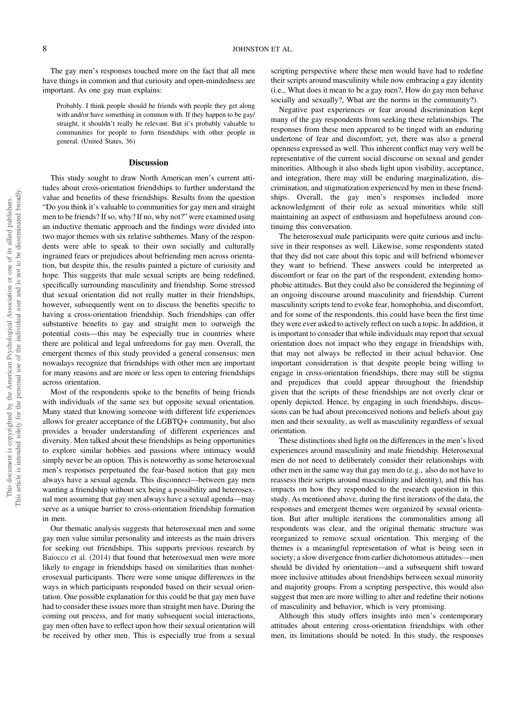The gay men's responses touched more on the fact that all men have things in common and that curiosity and open-mindedness are important. As one gay man explains:

Probably. I think people should be friends with people they get along with and/or have something in common with. If they happen to be gay/ straight, it shouldn't really be relevant. But it's probably valuable to communities for people to form friendships with other people in general. (United States, 36)

#### **Discussion**

This study sought to draw North American men's current attitudes about cross-orientation friendships to further understand the value and benefits of these friendships. Results from the question "Do you think it's valuable to communities for gay men and straight men to be friends? If so, why? If no, why not?" were examined using an inductive thematic approach and the findings were divided into two major themes with six relative subthemes. Many of the respondents were able to speak to their own socially and culturally ingrained fears or prejudices about befriending men across orientation, but despite this, the results painted a picture of curiosity and hope. This suggests that male sexual scripts are being redefined, specifically surrounding masculinity and friendship. Some stressed that sexual orientation did not really matter in their friendships, however, subsequently went on to discuss the benefits specific to having a cross-orientation friendship. Such friendships can offer substantive benefits to gay and straight men to outweigh the potential costs—this may be especially true in countries where there are political and legal unfreedoms for gay men. Overall, the emergent themes of this study provided a general consensus: men nowadays recognize that friendships with other men are important for many reasons and are more or less open to entering friendships across orientation.

Most of the respondents spoke to the benefits of being friends with individuals of the same sex but opposite sexual orientation. Many stated that knowing someone with different life experiences allows for greater acceptance of the LGBTQ+ community, but also provides a broader understanding of different experiences and diversity. Men talked about these friendships as being opportunities to explore similar hobbies and passions where intimacy would simply never be an option. This is noteworthy as some heterosexual men's responses perpetuated the fear-based notion that gay men always have a sexual agenda. This disconnect—between gay men wanting a friendship without sex being a possibility and heterosexual men assuming that gay men always have a sexual agenda—may serve as a unique barrier to cross-orientation friendship formation in men.

Our thematic analysis suggests that heterosexual men and some gay men value similar personality and interests as the main drivers for seeking out friendships. This supports previous research by Baiocco et al. (2014) that found that heterosexual men were more likely to engage in friendships based on similarities than nonheterosexual participants. There were some unique differences in the ways in which participants responded based on their sexual orientation. One possible explanation for this could be that gay men have had to consider these issues more than straight men have. During the coming out process, and for many subsequent social interactions, gay men often have to reflect upon how their sexual orientation will be received by other men. This is especially true from a sexual

scripting perspective where these men would have had to redefine their scripts around masculinity while now embracing a gay identity (i.e., What does it mean to be a gay men?, How do gay men behave socially and sexually?, What are the norms in the community?).

Negative past experiences or fear around discrimination kept many of the gay respondents from seeking these relationships. The responses from these men appeared to be tinged with an enduring undertone of fear and discomfort; yet, there was also a general openness expressed as well. This inherent conflict may very well be representative of the current social discourse on sexual and gender minorities. Although it also sheds light upon visibility, acceptance, and integration, there may still be enduring marginalization, discrimination, and stigmatization experienced by men in these friendships. Overall, the gay men's responses included more acknowledgment of their role as sexual minorities while still maintaining an aspect of enthusiasm and hopefulness around continuing this conversation.

The heterosexual male participants were quite curious and inclusive in their responses as well. Likewise, some respondents stated that they did not care about this topic and will befriend whomever they want to befriend. These answers could be interpreted as discomfort or fear on the part of the respondent, extending homophobic attitudes. But they could also be considered the beginning of an ongoing discourse around masculinity and friendship. Current masculinity scripts tend to evoke fear, homophobia, and discomfort, and for some of the respondents, this could have been the first time they were ever asked to actively reflect on such a topic. In addition, it is important to consider that while individuals may report that sexual orientation does not impact who they engage in friendships with, that may not always be reflected in their actual behavior. One important consideration is that despite people being willing to engage in cross-orientation friendships, there may still be stigma and prejudices that could appear throughout the friendship given that the scripts of these friendships are not overly clear or openly depicted. Hence, by engaging in such friendships, discussions can be had about preconceived notions and beliefs about gay men and their sexuality, as well as masculinity regardless of sexual orientation.

These distinctions shed light on the differences in the men's lived experiences around masculinity and male friendship. Heterosexual men do not need to deliberately consider their relationships with other men in the same way that gay men do (e.g., also do not have to reassess their scripts around masculinity and identity), and this has impacts on how they responded to the research question in this study. As mentioned above, during the first iterations of the data, the responses and emergent themes were organized by sexual orientation. But after multiple iterations the commonalities among all respondents was clear, and the original thematic structure was reorganized to remove sexual orientation. This merging of the themes is a meaningful representation of what is being seen in society; a slow divergence from earlier dichotomous attitudes—men should be divided by orientation—and a subsequent shift toward more inclusive attitudes about friendships between sexual minority and majority groups. From a scripting perspective, this would also suggest that men are more willing to alter and redefine their notions of masculinity and behavior, which is very promising.

Although this study offers insights into men's contemporary attitudes about entering cross-orientation friendships with other men, its limitations should be noted. In this study, the responses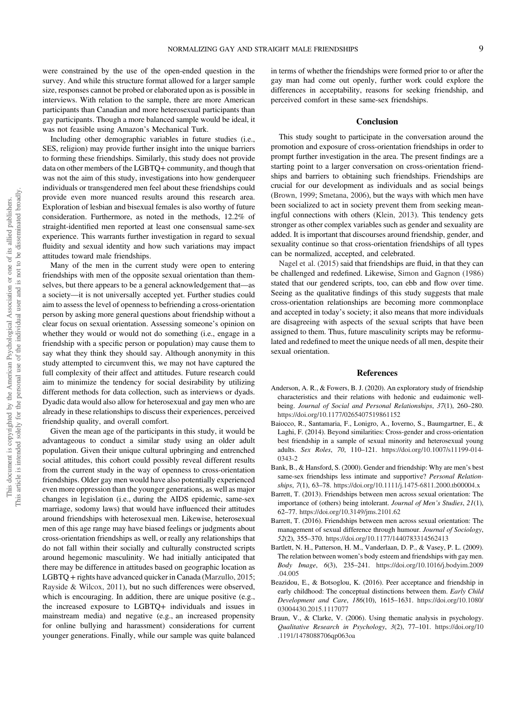were constrained by the use of the open-ended question in the survey. And while this structure format allowed for a larger sample size, responses cannot be probed or elaborated upon as is possible in interviews. With relation to the sample, there are more American participants than Canadian and more heterosexual participants than gay participants. Though a more balanced sample would be ideal, it was not feasible using Amazon's Mechanical Turk.

Including other demographic variables in future studies (i.e., SES, religion) may provide further insight into the unique barriers to forming these friendships. Similarly, this study does not provide data on other members of the LGBTQ+ community, and though that was not the aim of this study, investigations into how genderqueer individuals or transgendered men feel about these friendships could provide even more nuanced results around this research area. Exploration of lesbian and bisexual females is also worthy of future consideration. Furthermore, as noted in the methods, 12.2% of straight-identified men reported at least one consensual same-sex experience. This warrants further investigation in regard to sexual fluidity and sexual identity and how such variations may impact attitudes toward male friendships.

Many of the men in the current study were open to entering friendships with men of the opposite sexual orientation than themselves, but there appears to be a general acknowledgement that—as a society—it is not universally accepted yet. Further studies could aim to assess the level of openness to befriending a cross-orientation person by asking more general questions about friendship without a clear focus on sexual orientation. Assessing someone's opinion on whether they would or would not do something (i.e., engage in a friendship with a specific person or population) may cause them to say what they think they should say. Although anonymity in this study attempted to circumvent this, we may not have captured the full complexity of their affect and attitudes. Future research could aim to minimize the tendency for social desirability by utilizing different methods for data collection, such as interviews or dyads. Dyadic data would also allow for heterosexual and gay men who are already in these relationships to discuss their experiences, perceived friendship quality, and overall comfort.

Given the mean age of the participants in this study, it would be advantageous to conduct a similar study using an older adult population. Given their unique cultural upbringing and entrenched social attitudes, this cohort could possibly reveal different results from the current study in the way of openness to cross-orientation friendships. Older gay men would have also potentially experienced even more oppression than the younger generations, as well as major changes in legislation (i.e., during the AIDS epidemic, same-sex marriage, sodomy laws) that would have influenced their attitudes around friendships with heterosexual men. Likewise, heterosexual men of this age range may have biased feelings or judgments about cross-orientation friendships as well, or really any relationships that do not fall within their socially and culturally constructed scripts around hegemonic masculinity. We had initially anticipated that there may be difference in attitudes based on geographic location as LGBTQ + rights have advanced quicker in Canada (Marzullo, 2015; Rayside & Wilcox, 2011), but no such differences were observed, which is encouraging. In addition, there are unique positive (e.g., the increased exposure to LGBTQ+ individuals and issues in mainstream media) and negative (e.g., an increased propensity for online bullying and harassment) considerations for current younger generations. Finally, while our sample was quite balanced

in terms of whether the friendships were formed prior to or after the gay man had come out openly, further work could explore the differences in acceptability, reasons for seeking friendship, and perceived comfort in these same-sex friendships.

# **Conclusion**

This study sought to participate in the conversation around the promotion and exposure of cross-orientation friendships in order to prompt further investigation in the area. The present findings are a starting point to a larger conversation on cross-orientation friendships and barriers to obtaining such friendships. Friendships are crucial for our development as individuals and as social beings ([Brown, 1999;](#page-10-0) Smetana, 2006), but the ways with which men have been socialized to act in society prevent them from seeking meaningful connections with others (Klein, 2013). This tendency gets stronger as other complex variables such as gender and sexuality are added. It is important that discourses around friendship, gender, and sexuality continue so that cross-orientation friendships of all types can be normalized, accepted, and celebrated.

Nagel et al. (2015) said that friendships are fluid, in that they can be challenged and redefined. Likewise, Simon and Gagnon (1986) stated that our gendered scripts, too, can ebb and flow over time. Seeing as the qualitative findings of this study suggests that male cross-orientation relationships are becoming more commonplace and accepted in today's society; it also means that more individuals are disagreeing with aspects of the sexual scripts that have been assigned to them. Thus, future masculinity scripts may be reformulated and redefined to meet the unique needs of all men, despite their sexual orientation.

#### References

- Anderson, A. R., & Fowers, B. J. (2020). An exploratory study of friendship characteristics and their relations with hedonic and eudaimonic wellbeing. Journal of Social and Personal Relationships, 37(1), 260–280. <https://doi.org/10.1177/0265407519861152>
- Baiocco, R., Santamaria, F., Lonigro, A., Ioverno, S., Baumgartner, E., & Laghi, F. (2014). Beyond similarities: Cross-gender and cross-orientation best friendship in a sample of sexual minority and heterosexual young adults. Sex Roles, 70, 110–121. [https://doi.org/10.1007/s11199-014-](https://doi.org/10.1007/s11199-014-0343-2) [0343-2](https://doi.org/10.1007/s11199-014-0343-2)
- Bank, B., & Hansford, S. (2000). Gender and friendship: Why are men's best same-sex friendships less intimate and supportive? Personal Relationships, 7(1), 63–78. <https://doi.org/10.1111/j.1475-6811.2000.tb00004.x>
- Barrett, T. (2013). Friendships between men across sexual orientation: The importance of (others) being intolerant. Journal of Men's Studies, 21(1), 62–77. <https://doi.org/10.3149/jms.2101.62>
- Barrett, T. (2016). Friendships between men across sexual orientation: The management of sexual difference through humour. Journal of Sociology, 52(2), 355–370. <https://doi.org/10.1177/1440783314562413>
- Bartlett, N. H., Patterson, H. M., Vanderlaan, D. P., & Vasey, P. L. (2009). The relation between women's body esteem and friendships with gay men. Body Image, 6(3), 235–241. [https://doi.org/10.1016/j.bodyim.2009](https://doi.org/10.1016/j.bodyim.2009.04.005) [.04.005](https://doi.org/10.1016/j.bodyim.2009.04.005)
- Beazidou, E., & Botsoglou, K. (2016). Peer acceptance and friendship in early childhood: The conceptual distinctions between them. Early Child Development and Care, 186(10), 1615–1631. [https://doi.org/10.1080/](https://doi.org/10.1080/03004430.2015.1117077) [03004430.2015.1117077](https://doi.org/10.1080/03004430.2015.1117077)
- Braun, V., & Clarke, V. (2006). Using thematic analysis in psychology. Qualitative Research in Psychology, 3(2), 77–101. [https://doi.org/10](https://doi.org/10.1191/1478088706qp063oa) [.1191/1478088706qp063oa](https://doi.org/10.1191/1478088706qp063oa)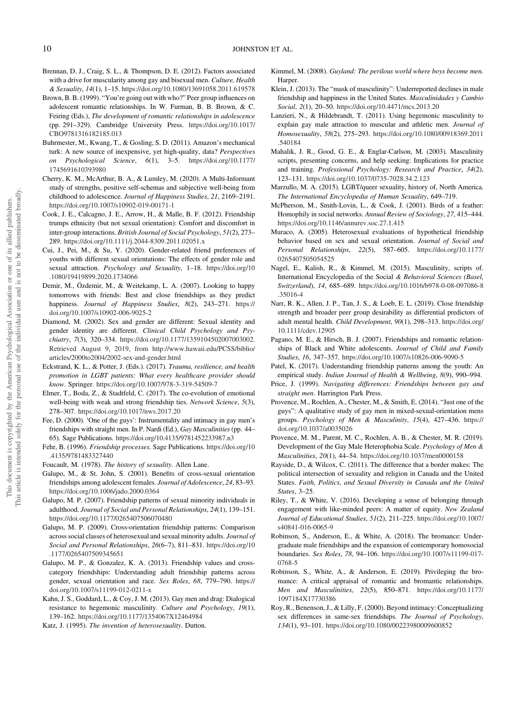- <span id="page-10-0"></span>Brennan, D. J., Craig, S. L., & Thompson, D. E. (2012). Factors associated with a drive for muscularity among gay and bisexual men. Culture, Health & Sexuality, 14(1), 1–15. <https://doi.org/10.1080/13691058.2011.619578>
- Brown, B. B. (1999). "You're going out with who?" Peer group influences on adolescent romantic relationships. In W. Furman, B. B. Brown, & C. Feiring (Eds.), The development of romantic relationships in adolescence (pp. 291–329). Cambridge University Press. [https://doi.org/10.1017/](https://doi.org/10.1017/CBO9781316182185.013) [CBO9781316182185.013](https://doi.org/10.1017/CBO9781316182185.013)
- Buhrmester, M., Kwang, T., & Gosling, S. D. (2011). Amazon's mechanical turk: A new source of inexpensive, yet high-quality, data? Perspectives on Psychological Science, 6(1), 3–5. [https://doi.org/10.1177/](https://doi.org/10.1177/1745691610393980) [1745691610393980](https://doi.org/10.1177/1745691610393980)
- Cherry, K. M., McArthur, B. A., & Lumley, M. (2020). A Multi-Informant study of strengths, positive self-schemas and subjective well-being from childhood to adolescence. Journal of Happiness Studies, 21, 2169–2191. <https://doi.org/10.1007/s10902-019-00171-1>
- Cook, J. E., Calcagno, J. E., Arrow, H., & Malle, B. F. (2012). Friendship trumps ethnicity (but not sexual orientation): Comfort and discomfort in inter-group interactions. British Journal of Social Psychology, 51(2), 273– 289. <https://doi.org/10.1111/j.2044-8309.2011.02051.x>
- Cui, J., Pei, M., & Su, Y. (2020). Gender-related friend preferences of youths with different sexual orientations: The effects of gender role and sexual attraction. Psychology and Sexuality, 1-18. [https://doi.org/10](https://doi.org/10.1080/19419899.2020.1734066) [.1080/19419899.2020.1734066](https://doi.org/10.1080/19419899.2020.1734066)
- Demir, M., Özdemir, M., & Weitekamp, L. A. (2007). Looking to happy tomorrows with friends: Best and close friendships as they predict happiness. Journal of Happiness Studies, 8(2), 243–271. [https://](https://doi.org/10.1007/s10902-006-9025-2) [doi.org/10.1007/s10902-006-9025-2](https://doi.org/10.1007/s10902-006-9025-2)
- Diamond, M. (2002). Sex and gender are different: Sexual identity and gender identity are different. Clinical Child Psychology and Psychiatry, 7(3), 320–334. [https://doi.org/10.1177/1359104502007003002.](https://doi.org/10.1177/1359104502007003002) [Retrieved August 9, 2019, from http://www.hawaii.edu/PCSS/biblio/](http://www.hawaii.edu/PCSS/biblio/articles/2000to2004/2002-sex-and-gender.html) [articles/2000to2004/2002-sex-and-gender](http://www.hawaii.edu/PCSS/biblio/articles/2000to2004/2002-sex-and-gender.html)[.html](https://doi.org/10.1177/1359104502007003002)
- Eckstrand, K. L., & Potter, J. (Eds.). (2017). Trauma, resilience, and health promotion in LGBT patients: What every healthcare provider should know. Springer. <https://doi.org/10.1007/978-3-319-54509-7>
- Elmer, T., Boda, Z., & Stadtfeld, C. (2017). The co-evolution of emotional well-being with weak and strong friendship ties. Network Science, 5(3), 278–307. <https://doi.org/10.1017/nws.2017.20>
- Fee, D. (2000). 'One of the guys': Instrumentality and intimacy in gay men's friendships with straight men. In P. Nardi (Ed.), Gay Masculinities (pp. 44– 65). Sage Publications. <https://doi.org/10.4135/9781452233987.n3>
- Fehr, B. (1996). Friendship processes. Sage Publications. [https://doi.org/10](https://doi.org/10.4135/9781483327440) [.4135/9781483327440](https://doi.org/10.4135/9781483327440)
- Foucault, M. (1978). The history of sexuality. Allen Lane.
- Galupo, M., & St. John, S. (2001). Benefits of cross-sexual orientation friendships among adolescent females. Journal of Adolescence, 24, 83–93. <https://doi.org/10.1006/jado.2000.0364>
- Galupo, M. P. (2007). Friendship patterns of sexual minority individuals in adulthood. Journal of Social and Personal Relationships, 24(1), 139–151. <https://doi.org/10.1177/0265407506070480>
- Galupo, M. P. (2009). Cross-orientation friendship patterns: Comparison across social classes of heterosexual and sexual minority adults. Journal of Social and Personal Relationships, 26(6–7), 811–831. [https://doi.org/10](https://doi.org/10.1177/0265407509345651) [.1177/0265407509345651](https://doi.org/10.1177/0265407509345651)
- Galupo, M. P., & Gonzalez, K. A. (2013). Friendship values and crosscategory friendships: Understanding adult friendship patterns across gender, sexual orientation and race. Sex Roles, 68, 779–790. [https://](https://doi.org/10.1007/s11199-012-0211-x) [doi.org/10.1007/s11199-012-0211-x](https://doi.org/10.1007/s11199-012-0211-x)
- Kahn, J. S., Goddard, L., & Coy, J. M. (2013). Gay men and drag: Dialogical resistance to hegemonic masculinity. Culture and Psychology, 19(1), 139–162. <https://doi.org/10.1177/1354067X12464984>
- Katz, J. (1995). The invention of heterosexuality. Dutton.
- Kimmel, M. (2008). Guyland: The perilous world where boys become men. **Harper**
- Klein, J. (2013). The "mask of masculinity": Underreported declines in male friendship and happiness in the United States. Masculinidades y Cambio Social, 2(1), 20–50. <https://doi.org/10.4471/mcs.2013.20>
- Lanzieri, N., & Hildebrandt, T. (2011). Using hegemonic masculinity to explain gay male attraction to muscular and athletic men. Journal of Homosexuality, 58(2), 275–293. [https://doi.org/10.1080/00918369.2011](https://doi.org/10.1080/00918369.2011.540184) [.540184](https://doi.org/10.1080/00918369.2011.540184)
- Mahalik, J. R., Good, G. E., & Englar-Carlson, M. (2003). Masculinity scripts, presenting concerns, and help seeking: Implications for practice and training. Professional Psychology: Research and Practice, 34(2), 123–131. <https://doi.org/10.1037/0735-7028.34.2.123>
- Marzullo, M. A. (2015). LGBT/queer sexuality, history of, North America. The International Encyclopedia of Human Sexuality, 649–719.
- McPherson, M., Smith-Lovin, L., & Cook, J. (2001). Birds of a feather: Homophily in social networks. Annual Review of Sociology, 27, 415–444. <https://doi.org/10.1146/annurev.soc.27.1.415>
- Muraco, A. (2005). Heterosexual evaluations of hypothetical friendship behavior based on sex and sexual orientation. Journal of Social and Personal Relationships, 22(5), 587–605. [https://doi.org/10.1177/](https://doi.org/10.1177/0265407505054525) [0265407505054525](https://doi.org/10.1177/0265407505054525)
- Nagel, E., Kalish, R., & Kimmel, M. (2015). Masculinity, scripts of. International Encyclopedia of the Social & Behavioral Sciences (Basel, Switzerland), 14, 685–689. [https://doi.org/10.1016/b978-0-08-097086-8](https://doi.org/10.1016/b978-0-08-097086-8.35016-4) [.35016-4](https://doi.org/10.1016/b978-0-08-097086-8.35016-4)
- Narr, R. K., Allen, J. P., Tan, J. S., & Loeb, E. L. (2019). Close friendship strength and broader peer group desirability as differential predictors of adult mental health. Child Development, 90(1), 298–313. [https://doi.org/](https://doi.org/10.1111/cdev.12905) [10.1111/cdev.12905](https://doi.org/10.1111/cdev.12905)
- Pagano, M. E., & Hirsch, B. J. (2007). Friendships and romantic relationships of Black and White adolescents. Journal of Child and Family Studies, 16, 347–357. <https://doi.org/10.1007/s10826-006-9090-5>
- Patel, K. (2017). Understanding friendship patterns among the youth: An empirical study. Indian Journal of Health & Wellbeing, 8(9), 990–994.
- Price, J. (1999). Navigating differences: Friendships between gay and straight men. Harrington Park Press.
- Provence, M., Rochlen, A., Chester, M., & Smith, E. (2014). "Just one of the guys": A qualitative study of gay men in mixed-sexual-orientation mens groups. Psychology of Men & Masculinity, 15(4), 427–436. [https://](https://doi.org/10.1037/a0035026) [doi.org/10.1037/a0035026](https://doi.org/10.1037/a0035026)
- Provence, M. M., Parent, M. C., Rochlen, A. B., & Chester, M. R. (2019). Development of the Gay Male Heterophobia Scale. Psychology of Men & Masculinities, 20(1), 44–54. <https://doi.org/10.1037/men0000158>
- Rayside, D., & Wilcox, C. (2011). The difference that a border makes: The political intersection of sexuality and religion in Canada and the United States. Faith, Politics, and Sexual Diversity in Canada and the United States, 3–25.
- Riley, T., & White, V. (2016). Developing a sense of belonging through engagement with like-minded peers: A matter of equity. New Zealand Journal of Educational Studies, 51(2), 211–225. [https://doi.org/10.1007/](https://doi.org/10.1007/s40841-016-0065-9) [s40841-016-0065-9](https://doi.org/10.1007/s40841-016-0065-9)
- Robinson, S., Anderson, E., & White, A. (2018). The bromance: Undergraduate male friendships and the expansion of contemporary homosocial boundaries. Sex Roles, 78, 94–106. [https://doi.org/10.1007/s11199-017-](https://doi.org/10.1007/s11199-017-0768-5) [0768-5](https://doi.org/10.1007/s11199-017-0768-5)
- Robinson, S., White, A., & Anderson, E. (2019). Privileging the bromance: A critical appraisal of romantic and bromantic relationships. Men and Masculinities, 22(5), 850–871. [https://doi.org/10.1177/](https://doi.org/10.1177/1097184X17730386) [1097184X17730386](https://doi.org/10.1177/1097184X17730386)
- Roy, R., Benenson, J., & Lilly, F. (2000). Beyond intimacy: Conceptualizing sex differences in same-sex friendships. The Journal of Psychology, 134(1), 93–101. <https://doi.org/10.1080/00223980009600852>